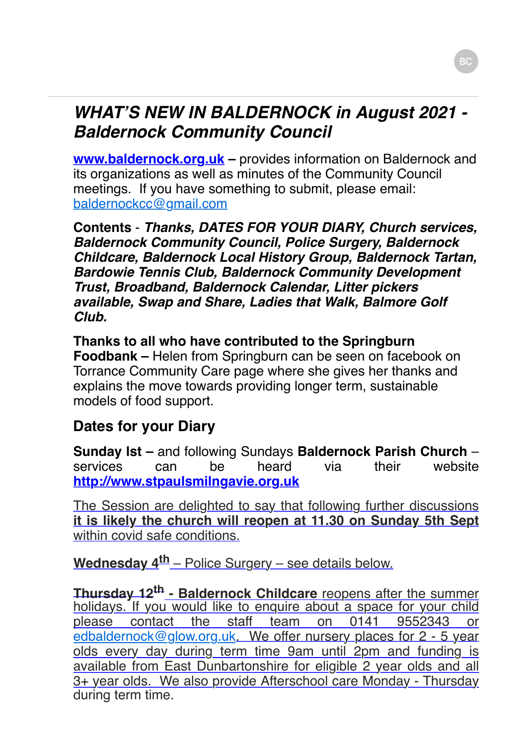## *WHAT'S NEW IN BALDERNOCK in August 2021 - Baldernock Community Council*

**www.baldernock.org.uk** – provides information on Baldernock and its organizations as well as minutes of the Community Council meetings. If you have something to submit, please email: [baldernockcc@gmail.com](mailto:baldernockcc@gmail.com)

**Contents** - *Thanks, DATES FOR YOUR DIARY, Church services, Baldernock Community Council, Police Surgery, Baldernock Childcare, Baldernock Local History Group, Baldernock Tartan, Bardowie Tennis Club, Baldernock Community Development Trust, Broadband, Baldernock Calendar, Litter pickers available, Swap and Share, Ladies that Walk, Balmore Golf Club.*

#### **Thanks to all who have contributed to the Springburn Foodbank –** Helen from Springburn can be seen on facebook on Torrance Community Care page where she gives her thanks and explains the move towards providing longer term, sustainable models of food support.

### **Dates for your Diary**

**Sunday lst –** and following Sundays **Baldernock Parish Church** – services can be heard via their website **[http://www.stpaulsmilngavie.org.uk](http://www.stpaulsmilngavie.org.uk/)**

The Session are delighted to say that following further discussions **it is likely the church will reopen at 11.30 on Sunday 5th Sept** within covid safe conditions.

**Wednesday 4th** – Police Surgery – see details below.

**Thursday 12th - Baldernock Childcare** reopens after the summer holidays. If you would like to enquire about a space for your child please contact the staff team on 0141 9552343 or [edbaldernock@glow.org.uk](mailto:edbaldernock@glow.org.uk). We offer nursery places for 2 - 5 year olds every day during term time 9am until 2pm and funding is available from East Dunbartonshire for eligible 2 year olds and all 3+ year olds. We also provide Afterschool care Monday - Thursday during term time.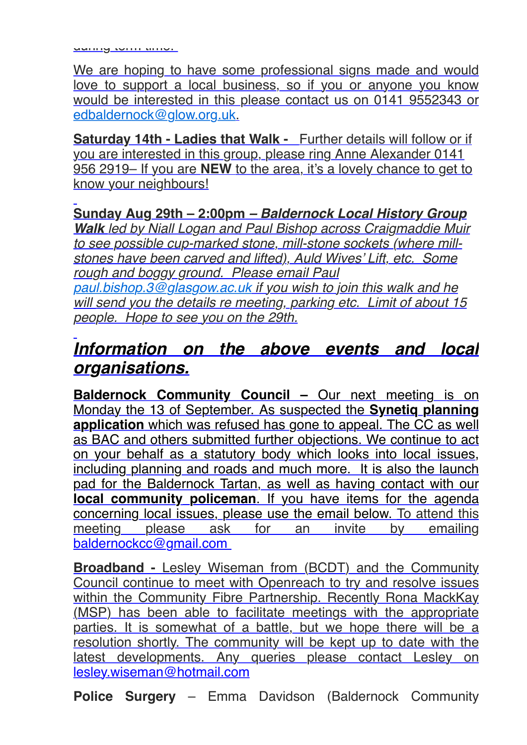We are hoping to have some professional signs made and would love to support a local business, so if you or anyone you know would be interested in this please contact us on 0141 9552343 or [edbaldernock@glow.org.uk](mailto:edbaldernock@glow.org.uk).

**Saturday 14th - Ladies that Walk -** Further details will follow or if you are interested in this group, please ring Anne Alexander 0141 956 2919– If you are **NEW** to the area, it's a lovely chance to get to know your neighbours!

## **Sunday Aug 29th – 2:00pm** *– Baldernock Local History Group*

*Walk led by Niall Logan and Paul Bishop across Craigmaddie Muir to see possible cup-marked stone, mill-stone sockets (where millstones have been carved and lifted), Auld Wives' Lift, etc. Some rough and boggy ground. Please email Paul [paul.bishop.3@glasgow.ac.uk](mailto:paul.bishop.3@glasgow.ac.uk) if you wish to join this walk and he will send you the details re meeting, parking etc. Limit of about 15 people. Hope to see you on the 29th.*

## *Information on the above events and local organisations.*

**Baldernock Community Council –** Our next meeting is on Monday the 13 of September. As suspected the **Synetiq planning application** which was refused has gone to appeal. The CC as well as BAC and others submitted further objections. We continue to act on your behalf as a statutory body which looks into local issues, including planning and roads and much more. It is also the launch pad for the Baldernock Tartan, as well as having contact with our **local community policeman**. If you have items for the agenda concerning local issues, please use the email below. To attend this meeting please ask for an invite by emailing meeting please ask for an invite by emailing [baldernockcc@gmail.com](mailto:baldernockcc@gmail.com)

**Broadband -** Lesley Wiseman from (BCDT) and the Community Council continue to meet with Openreach to try and resolve issues within the Community Fibre Partnership. Recently Rona MackKay (MSP) has been able to facilitate meetings with the appropriate parties. It is somewhat of a battle, but we hope there will be a resolution shortly. The community will be kept up to date with the latest developments. Any queries please contact Lesley on [lesley.wiseman@hotmail.com](mailto:lesley.wiseman@hotmail.com)

**Police Surgery** – Emma Davidson (Baldernock Community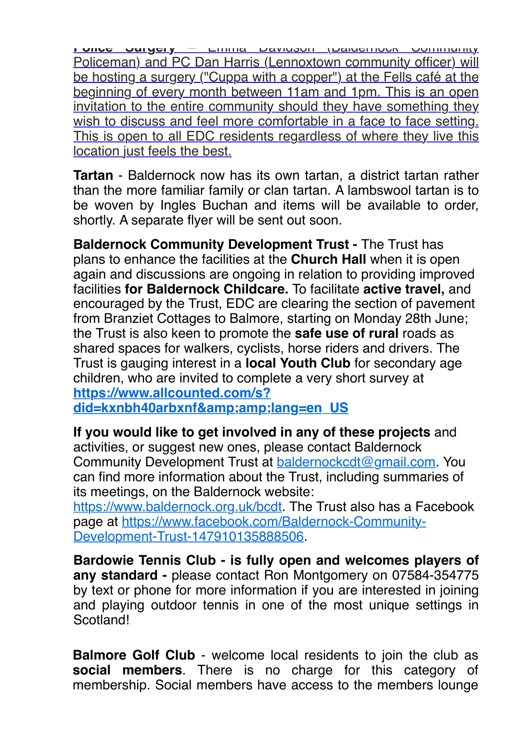**Police Surgery** – Emma Davidson (Baldernock Community Policeman) and PC Dan Harris (Lennoxtown community officer) will be hosting a surgery ("Cuppa with a copper") at the Fells café at the beginning of every month between 11am and 1pm. This is an open invitation to the entire community should they have something they wish to discuss and feel more comfortable in a face to face setting. This is open to all EDC residents regardless of where they live this location just feels the best.

**Tartan** - Baldernock now has its own tartan, a district tartan rather than the more familiar family or clan tartan. A lambswool tartan is to be woven by Ingles Buchan and items will be available to order, shortly. A separate flyer will be sent out soon.

**Baldernock Community Development Trust - The Trust has** plans to enhance the facilities at the **Church Hall** when it is open again and discussions are ongoing in relation to providing improved facilities **for Baldernock Childcare.** To facilitate **active travel,** and encouraged by the Trust, EDC are clearing the section of pavement from Branziet Cottages to Balmore, starting on Monday 28th June; the Trust is also keen to promote the **safe use of rural** roads as shared spaces for walkers, cyclists, horse riders and drivers. The Trust is gauging interest in a **local Youth Club** for secondary age children, who are invited to complete a very short survey at **https://www.allcounted.com/s?**

[did=kxnbh40arbxnf&lang=en\\_US](https://www.allcounted.com/s?did=kxnbh40arbxnf&amp;lang=en_US)

#### **If you would like to get involved in any of these projects** and activities, or suggest new ones, please contact Baldernock

Community Development Trust at [baldernockcdt@gmail.com](mailto:baldernockcdt@gmail.com). You can find more information about the Trust, including summaries of its meetings, on the Baldernock website:

[https://www.baldernock.org.uk/bcdt.](https://www.baldernock.org.uk/bcdt) The Trust also has a Facebook [page at https://www.facebook.com/Baldernock-Community-](https://www.facebook.com/Baldernock-Community-Development-Trust-147910135888506)Development-Trust-147910135888506.

**Bardowie Tennis Club - is fully open and welcomes players of any standard -** please contact Ron Montgomery on 07584-354775 by text or phone for more information if you are interested in joining and playing outdoor tennis in one of the most unique settings in Scotland!

**Balmore Golf Club** - welcome local residents to join the club as **social members**. There is no charge for this category of membership. Social members have access to the members lounge